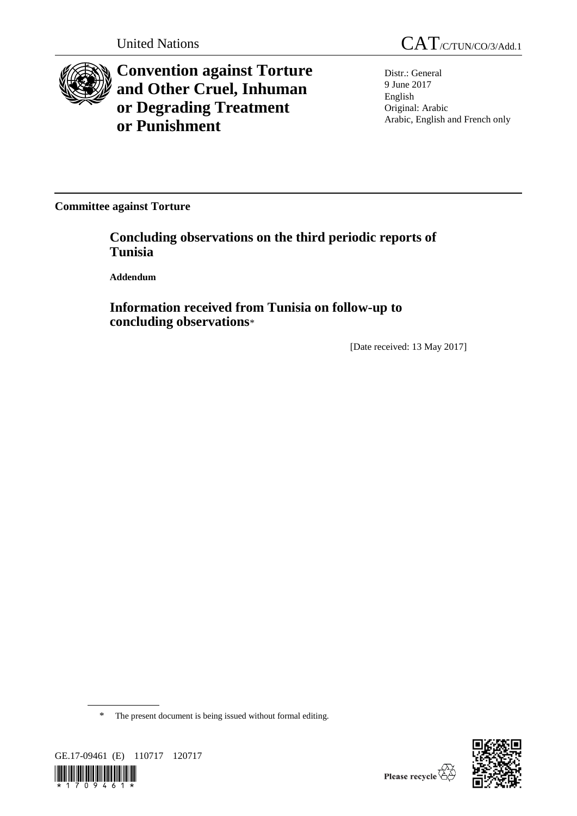

**Convention against Torture and Other Cruel, Inhuman or Degrading Treatment or Punishment**

Distr.: General 9 June 2017 English Original: Arabic Arabic, English and French only

**Committee against Torture**

**Concluding observations on the third periodic reports of Tunisia**

**Addendum**

**Information received from Tunisia on follow-up to concluding observations**\*

[Date received: 13 May 2017]

\* The present document is being issued without formal editing.



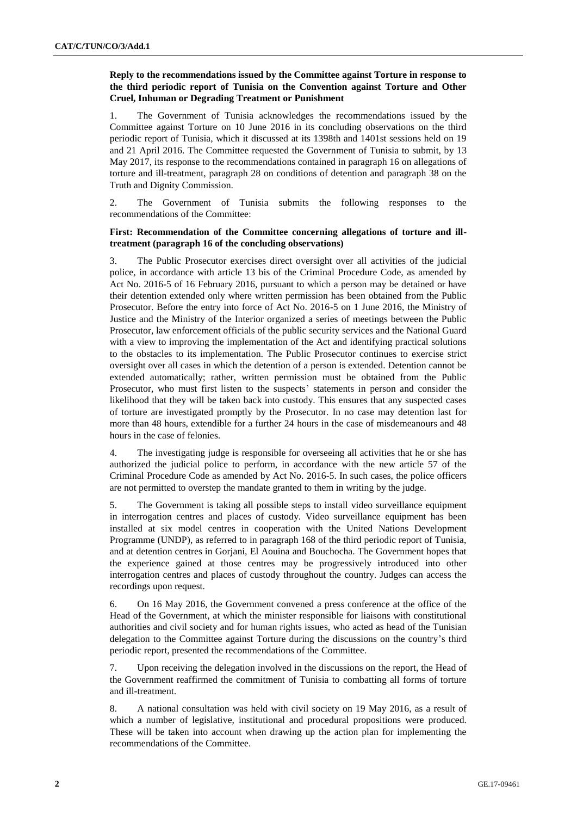# **Reply to the recommendations issued by the Committee against Torture in response to the third periodic report of Tunisia on the Convention against Torture and Other Cruel, Inhuman or Degrading Treatment or Punishment**

1. The Government of Tunisia acknowledges the recommendations issued by the Committee against Torture on 10 June 2016 in its concluding observations on the third periodic report of Tunisia, which it discussed at its 1398th and 1401st sessions held on 19 and 21 April 2016. The Committee requested the Government of Tunisia to submit, by 13 May 2017, its response to the recommendations contained in paragraph 16 on allegations of torture and ill-treatment, paragraph 28 on conditions of detention and paragraph 38 on the Truth and Dignity Commission.

2. The Government of Tunisia submits the following responses to the recommendations of the Committee:

# **First: Recommendation of the Committee concerning allegations of torture and illtreatment (paragraph 16 of the concluding observations)**

3. The Public Prosecutor exercises direct oversight over all activities of the judicial police, in accordance with article 13 bis of the Criminal Procedure Code, as amended by Act No. 2016-5 of 16 February 2016, pursuant to which a person may be detained or have their detention extended only where written permission has been obtained from the Public Prosecutor. Before the entry into force of Act No. 2016-5 on 1 June 2016, the Ministry of Justice and the Ministry of the Interior organized a series of meetings between the Public Prosecutor, law enforcement officials of the public security services and the National Guard with a view to improving the implementation of the Act and identifying practical solutions to the obstacles to its implementation. The Public Prosecutor continues to exercise strict oversight over all cases in which the detention of a person is extended. Detention cannot be extended automatically; rather, written permission must be obtained from the Public Prosecutor, who must first listen to the suspects' statements in person and consider the likelihood that they will be taken back into custody. This ensures that any suspected cases of torture are investigated promptly by the Prosecutor. In no case may detention last for more than 48 hours, extendible for a further 24 hours in the case of misdemeanours and 48 hours in the case of felonies.

4. The investigating judge is responsible for overseeing all activities that he or she has authorized the judicial police to perform, in accordance with the new article 57 of the Criminal Procedure Code as amended by Act No. 2016-5. In such cases, the police officers are not permitted to overstep the mandate granted to them in writing by the judge.

5. The Government is taking all possible steps to install video surveillance equipment in interrogation centres and places of custody. Video surveillance equipment has been installed at six model centres in cooperation with the United Nations Development Programme (UNDP), as referred to in paragraph 168 of the third periodic report of Tunisia, and at detention centres in Gorjani, El Aouina and Bouchocha. The Government hopes that the experience gained at those centres may be progressively introduced into other interrogation centres and places of custody throughout the country. Judges can access the recordings upon request.

6. On 16 May 2016, the Government convened a press conference at the office of the Head of the Government, at which the minister responsible for liaisons with constitutional authorities and civil society and for human rights issues, who acted as head of the Tunisian delegation to the Committee against Torture during the discussions on the country's third periodic report, presented the recommendations of the Committee.

7. Upon receiving the delegation involved in the discussions on the report, the Head of the Government reaffirmed the commitment of Tunisia to combatting all forms of torture and ill-treatment.

8. A national consultation was held with civil society on 19 May 2016, as a result of which a number of legislative, institutional and procedural propositions were produced. These will be taken into account when drawing up the action plan for implementing the recommendations of the Committee.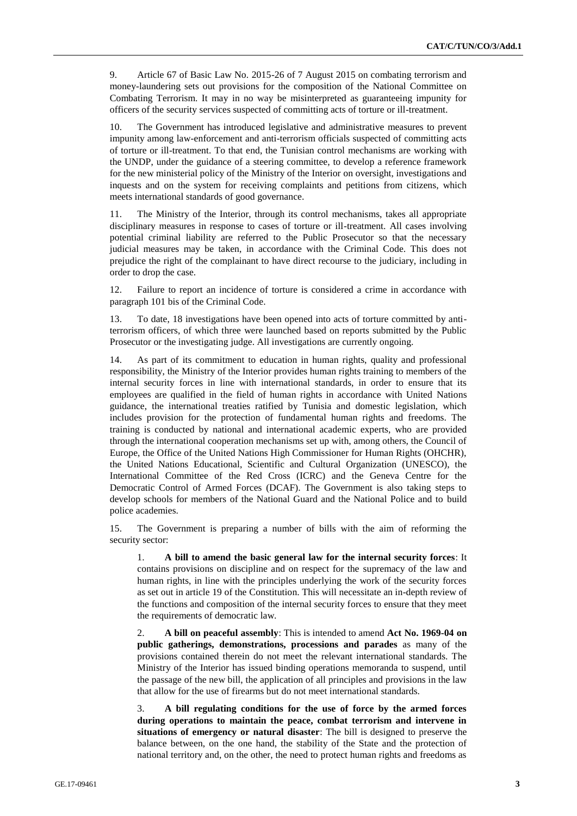9. Article 67 of Basic Law No. 2015-26 of 7 August 2015 on combating terrorism and money-laundering sets out provisions for the composition of the National Committee on Combating Terrorism. It may in no way be misinterpreted as guaranteeing impunity for officers of the security services suspected of committing acts of torture or ill-treatment.

10. The Government has introduced legislative and administrative measures to prevent impunity among law-enforcement and anti-terrorism officials suspected of committing acts of torture or ill-treatment. To that end, the Tunisian control mechanisms are working with the UNDP, under the guidance of a steering committee, to develop a reference framework for the new ministerial policy of the Ministry of the Interior on oversight, investigations and inquests and on the system for receiving complaints and petitions from citizens, which meets international standards of good governance.

11. The Ministry of the Interior, through its control mechanisms, takes all appropriate disciplinary measures in response to cases of torture or ill-treatment. All cases involving potential criminal liability are referred to the Public Prosecutor so that the necessary judicial measures may be taken, in accordance with the Criminal Code. This does not prejudice the right of the complainant to have direct recourse to the judiciary, including in order to drop the case.

12. Failure to report an incidence of torture is considered a crime in accordance with paragraph 101 bis of the Criminal Code.

13. To date, 18 investigations have been opened into acts of torture committed by antiterrorism officers, of which three were launched based on reports submitted by the Public Prosecutor or the investigating judge. All investigations are currently ongoing.

14. As part of its commitment to education in human rights, quality and professional responsibility, the Ministry of the Interior provides human rights training to members of the internal security forces in line with international standards, in order to ensure that its employees are qualified in the field of human rights in accordance with United Nations guidance, the international treaties ratified by Tunisia and domestic legislation, which includes provision for the protection of fundamental human rights and freedoms. The training is conducted by national and international academic experts, who are provided through the international cooperation mechanisms set up with, among others, the Council of Europe, the Office of the United Nations High Commissioner for Human Rights (OHCHR), the United Nations Educational, Scientific and Cultural Organization (UNESCO), the International Committee of the Red Cross (ICRC) and the Geneva Centre for the Democratic Control of Armed Forces (DCAF). The Government is also taking steps to develop schools for members of the National Guard and the National Police and to build police academies.

15. The Government is preparing a number of bills with the aim of reforming the security sector:

1. **A bill to amend the basic general law for the internal security forces**: It contains provisions on discipline and on respect for the supremacy of the law and human rights, in line with the principles underlying the work of the security forces as set out in article 19 of the Constitution. This will necessitate an in-depth review of the functions and composition of the internal security forces to ensure that they meet the requirements of democratic law.

2. **A bill on peaceful assembly**: This is intended to amend **Act No. 1969-04 on public gatherings, demonstrations, processions and parades** as many of the provisions contained therein do not meet the relevant international standards. The Ministry of the Interior has issued binding operations memoranda to suspend, until the passage of the new bill, the application of all principles and provisions in the law that allow for the use of firearms but do not meet international standards.

3. **A bill regulating conditions for the use of force by the armed forces during operations to maintain the peace, combat terrorism and intervene in situations of emergency or natural disaster**: The bill is designed to preserve the balance between, on the one hand, the stability of the State and the protection of national territory and, on the other, the need to protect human rights and freedoms as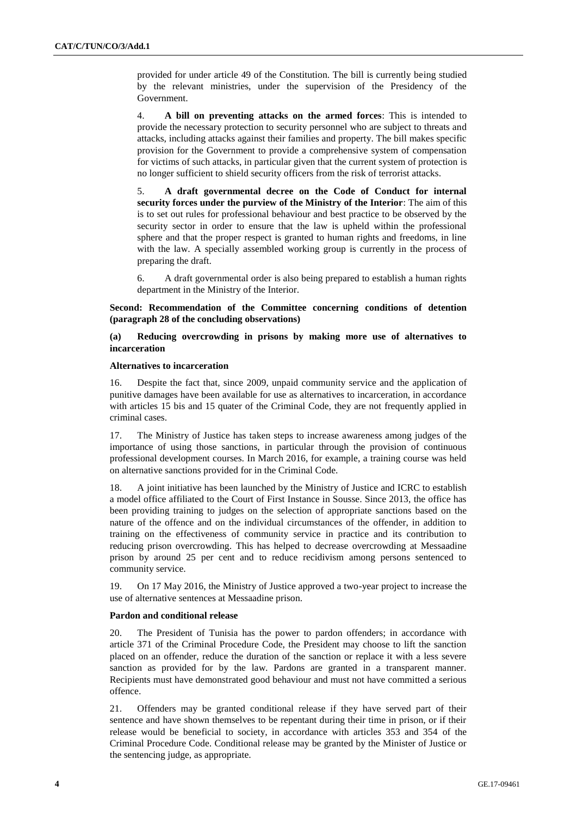provided for under article 49 of the Constitution. The bill is currently being studied by the relevant ministries, under the supervision of the Presidency of the Government.

4. **A bill on preventing attacks on the armed forces**: This is intended to provide the necessary protection to security personnel who are subject to threats and attacks, including attacks against their families and property. The bill makes specific provision for the Government to provide a comprehensive system of compensation for victims of such attacks, in particular given that the current system of protection is no longer sufficient to shield security officers from the risk of terrorist attacks.

5. **A draft governmental decree on the Code of Conduct for internal security forces under the purview of the Ministry of the Interior**: The aim of this is to set out rules for professional behaviour and best practice to be observed by the security sector in order to ensure that the law is upheld within the professional sphere and that the proper respect is granted to human rights and freedoms, in line with the law. A specially assembled working group is currently in the process of preparing the draft.

6. A draft governmental order is also being prepared to establish a human rights department in the Ministry of the Interior.

**Second: Recommendation of the Committee concerning conditions of detention (paragraph 28 of the concluding observations)**

# **(a) Reducing overcrowding in prisons by making more use of alternatives to incarceration**

#### **Alternatives to incarceration**

16. Despite the fact that, since 2009, unpaid community service and the application of punitive damages have been available for use as alternatives to incarceration, in accordance with articles 15 bis and 15 quater of the Criminal Code, they are not frequently applied in criminal cases.

17. The Ministry of Justice has taken steps to increase awareness among judges of the importance of using those sanctions, in particular through the provision of continuous professional development courses. In March 2016, for example, a training course was held on alternative sanctions provided for in the Criminal Code.

18. A joint initiative has been launched by the Ministry of Justice and ICRC to establish a model office affiliated to the Court of First Instance in Sousse. Since 2013, the office has been providing training to judges on the selection of appropriate sanctions based on the nature of the offence and on the individual circumstances of the offender, in addition to training on the effectiveness of community service in practice and its contribution to reducing prison overcrowding. This has helped to decrease overcrowding at Messaadine prison by around 25 per cent and to reduce recidivism among persons sentenced to community service.

19. On 17 May 2016, the Ministry of Justice approved a two-year project to increase the use of alternative sentences at Messaadine prison.

## **Pardon and conditional release**

20. The President of Tunisia has the power to pardon offenders; in accordance with article 371 of the Criminal Procedure Code, the President may choose to lift the sanction placed on an offender, reduce the duration of the sanction or replace it with a less severe sanction as provided for by the law. Pardons are granted in a transparent manner. Recipients must have demonstrated good behaviour and must not have committed a serious offence.

21. Offenders may be granted conditional release if they have served part of their sentence and have shown themselves to be repentant during their time in prison, or if their release would be beneficial to society, in accordance with articles 353 and 354 of the Criminal Procedure Code. Conditional release may be granted by the Minister of Justice or the sentencing judge, as appropriate.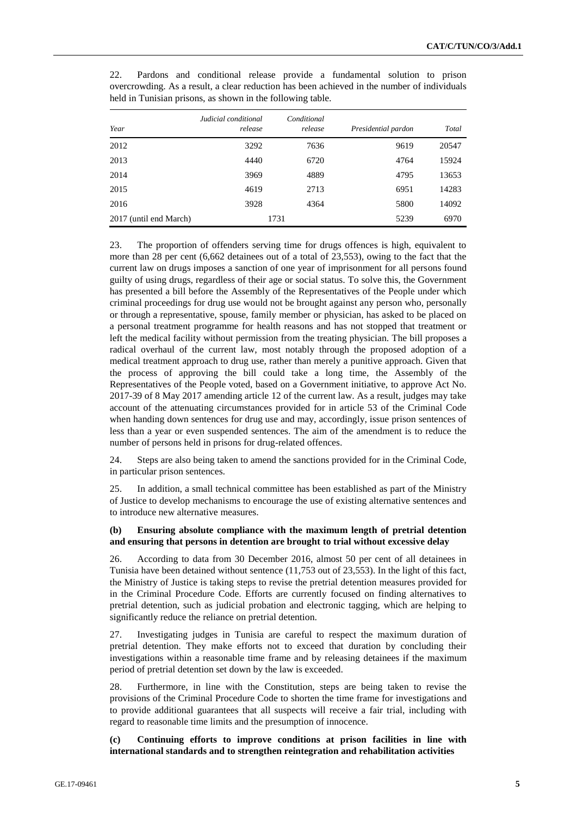| Year                   | Judicial conditional<br>release | Conditional<br>release | Presidential pardon | Total |
|------------------------|---------------------------------|------------------------|---------------------|-------|
| 2012                   | 3292                            | 7636                   | 9619                | 20547 |
| 2013                   | 4440                            | 6720                   | 4764                | 15924 |
| 2014                   | 3969                            | 4889                   | 4795                | 13653 |
| 2015                   | 4619                            | 2713                   | 6951                | 14283 |
| 2016                   | 3928                            | 4364                   | 5800                | 14092 |
| 2017 (until end March) |                                 | 1731                   | 5239                | 6970  |

22. Pardons and conditional release provide a fundamental solution to prison overcrowding. As a result, a clear reduction has been achieved in the number of individuals held in Tunisian prisons, as shown in the following table.

23. The proportion of offenders serving time for drugs offences is high, equivalent to more than 28 per cent (6,662 detainees out of a total of 23,553), owing to the fact that the current law on drugs imposes a sanction of one year of imprisonment for all persons found guilty of using drugs, regardless of their age or social status. To solve this, the Government has presented a bill before the Assembly of the Representatives of the People under which criminal proceedings for drug use would not be brought against any person who, personally or through a representative, spouse, family member or physician, has asked to be placed on a personal treatment programme for health reasons and has not stopped that treatment or left the medical facility without permission from the treating physician. The bill proposes a radical overhaul of the current law, most notably through the proposed adoption of a medical treatment approach to drug use, rather than merely a punitive approach. Given that the process of approving the bill could take a long time, the Assembly of the Representatives of the People voted, based on a Government initiative, to approve Act No. 2017-39 of 8 May 2017 amending article 12 of the current law. As a result, judges may take account of the attenuating circumstances provided for in article 53 of the Criminal Code when handing down sentences for drug use and may, accordingly, issue prison sentences of less than a year or even suspended sentences. The aim of the amendment is to reduce the number of persons held in prisons for drug-related offences.

24. Steps are also being taken to amend the sanctions provided for in the Criminal Code, in particular prison sentences.

25. In addition, a small technical committee has been established as part of the Ministry of Justice to develop mechanisms to encourage the use of existing alternative sentences and to introduce new alternative measures.

# **(b) Ensuring absolute compliance with the maximum length of pretrial detention and ensuring that persons in detention are brought to trial without excessive delay**

26. According to data from 30 December 2016, almost 50 per cent of all detainees in Tunisia have been detained without sentence (11,753 out of 23,553). In the light of this fact, the Ministry of Justice is taking steps to revise the pretrial detention measures provided for in the Criminal Procedure Code. Efforts are currently focused on finding alternatives to pretrial detention, such as judicial probation and electronic tagging, which are helping to significantly reduce the reliance on pretrial detention.

27. Investigating judges in Tunisia are careful to respect the maximum duration of pretrial detention. They make efforts not to exceed that duration by concluding their investigations within a reasonable time frame and by releasing detainees if the maximum period of pretrial detention set down by the law is exceeded.

28. Furthermore, in line with the Constitution, steps are being taken to revise the provisions of the Criminal Procedure Code to shorten the time frame for investigations and to provide additional guarantees that all suspects will receive a fair trial, including with regard to reasonable time limits and the presumption of innocence.

**(c) Continuing efforts to improve conditions at prison facilities in line with international standards and to strengthen reintegration and rehabilitation activities**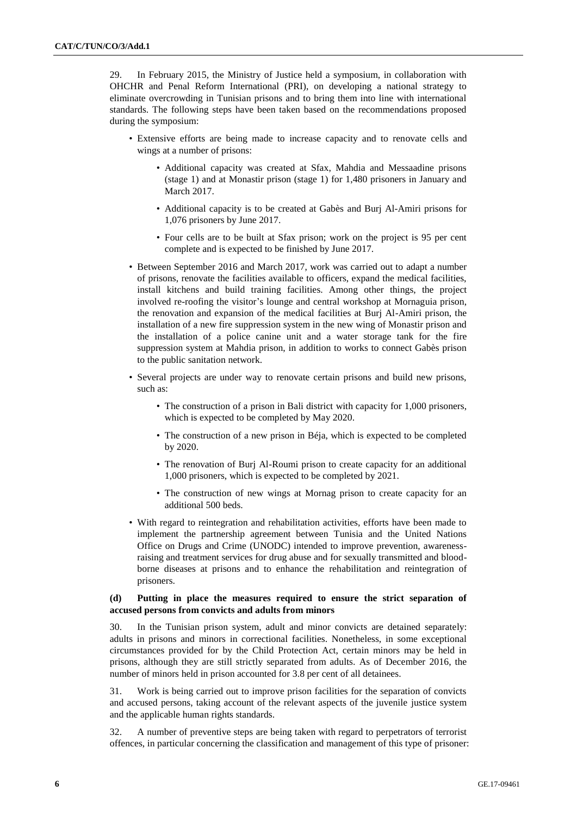29. In February 2015, the Ministry of Justice held a symposium, in collaboration with OHCHR and Penal Reform International (PRI), on developing a national strategy to eliminate overcrowding in Tunisian prisons and to bring them into line with international standards. The following steps have been taken based on the recommendations proposed during the symposium:

- Extensive efforts are being made to increase capacity and to renovate cells and wings at a number of prisons:
	- Additional capacity was created at Sfax, Mahdia and Messaadine prisons (stage 1) and at Monastir prison (stage 1) for 1,480 prisoners in January and March 2017.
	- Additional capacity is to be created at Gabès and Burj Al-Amiri prisons for 1,076 prisoners by June 2017.
	- Four cells are to be built at Sfax prison; work on the project is 95 per cent complete and is expected to be finished by June 2017.
- Between September 2016 and March 2017, work was carried out to adapt a number of prisons, renovate the facilities available to officers, expand the medical facilities, install kitchens and build training facilities. Among other things, the project involved re-roofing the visitor's lounge and central workshop at Mornaguia prison, the renovation and expansion of the medical facilities at Burj Al-Amiri prison, the installation of a new fire suppression system in the new wing of Monastir prison and the installation of a police canine unit and a water storage tank for the fire suppression system at Mahdia prison, in addition to works to connect Gabès prison to the public sanitation network.
- Several projects are under way to renovate certain prisons and build new prisons, such as:
	- The construction of a prison in Bali district with capacity for 1,000 prisoners, which is expected to be completed by May 2020.
	- The construction of a new prison in Béja, which is expected to be completed by 2020.
	- The renovation of Burj Al-Roumi prison to create capacity for an additional 1,000 prisoners, which is expected to be completed by 2021.
	- The construction of new wings at Mornag prison to create capacity for an additional 500 beds.
- With regard to reintegration and rehabilitation activities, efforts have been made to implement the partnership agreement between Tunisia and the United Nations Office on Drugs and Crime (UNODC) intended to improve prevention, awarenessraising and treatment services for drug abuse and for sexually transmitted and bloodborne diseases at prisons and to enhance the rehabilitation and reintegration of prisoners.

### **(d) Putting in place the measures required to ensure the strict separation of accused persons from convicts and adults from minors**

30. In the Tunisian prison system, adult and minor convicts are detained separately: adults in prisons and minors in correctional facilities. Nonetheless, in some exceptional circumstances provided for by the Child Protection Act, certain minors may be held in prisons, although they are still strictly separated from adults. As of December 2016, the number of minors held in prison accounted for 3.8 per cent of all detainees.

31. Work is being carried out to improve prison facilities for the separation of convicts and accused persons, taking account of the relevant aspects of the juvenile justice system and the applicable human rights standards.

32. A number of preventive steps are being taken with regard to perpetrators of terrorist offences, in particular concerning the classification and management of this type of prisoner: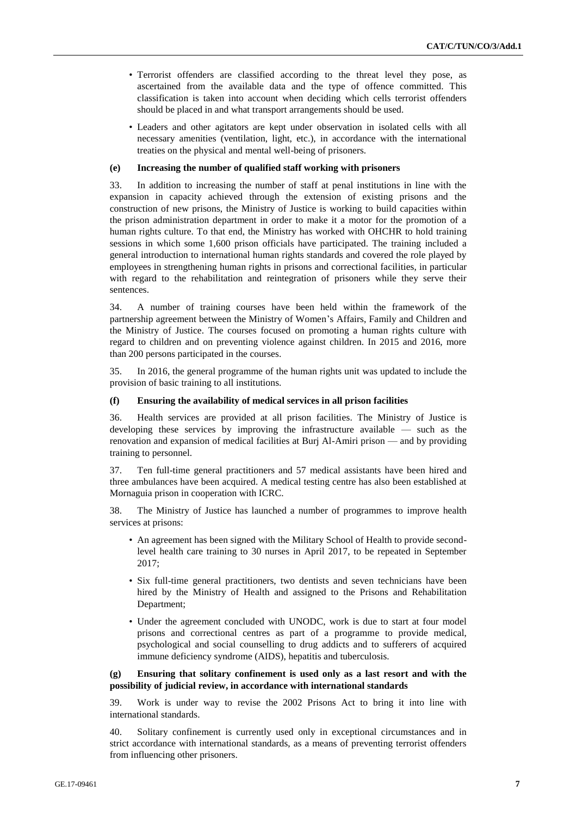- Terrorist offenders are classified according to the threat level they pose, as ascertained from the available data and the type of offence committed. This classification is taken into account when deciding which cells terrorist offenders should be placed in and what transport arrangements should be used.
- Leaders and other agitators are kept under observation in isolated cells with all necessary amenities (ventilation, light, etc.), in accordance with the international treaties on the physical and mental well-being of prisoners.

#### **(e) Increasing the number of qualified staff working with prisoners**

33. In addition to increasing the number of staff at penal institutions in line with the expansion in capacity achieved through the extension of existing prisons and the construction of new prisons, the Ministry of Justice is working to build capacities within the prison administration department in order to make it a motor for the promotion of a human rights culture. To that end, the Ministry has worked with OHCHR to hold training sessions in which some 1,600 prison officials have participated. The training included a general introduction to international human rights standards and covered the role played by employees in strengthening human rights in prisons and correctional facilities, in particular with regard to the rehabilitation and reintegration of prisoners while they serve their sentences.

34. A number of training courses have been held within the framework of the partnership agreement between the Ministry of Women's Affairs, Family and Children and the Ministry of Justice. The courses focused on promoting a human rights culture with regard to children and on preventing violence against children. In 2015 and 2016, more than 200 persons participated in the courses.

35. In 2016, the general programme of the human rights unit was updated to include the provision of basic training to all institutions.

### **(f) Ensuring the availability of medical services in all prison facilities**

36. Health services are provided at all prison facilities. The Ministry of Justice is developing these services by improving the infrastructure available — such as the renovation and expansion of medical facilities at Burj Al-Amiri prison — and by providing training to personnel.

37. Ten full-time general practitioners and 57 medical assistants have been hired and three ambulances have been acquired. A medical testing centre has also been established at Mornaguia prison in cooperation with ICRC.

38. The Ministry of Justice has launched a number of programmes to improve health services at prisons:

- An agreement has been signed with the Military School of Health to provide secondlevel health care training to 30 nurses in April 2017, to be repeated in September 2017;
- Six full-time general practitioners, two dentists and seven technicians have been hired by the Ministry of Health and assigned to the Prisons and Rehabilitation Department;
- Under the agreement concluded with UNODC, work is due to start at four model prisons and correctional centres as part of a programme to provide medical, psychological and social counselling to drug addicts and to sufferers of acquired immune deficiency syndrome (AIDS), hepatitis and tuberculosis.

# **(g) Ensuring that solitary confinement is used only as a last resort and with the possibility of judicial review, in accordance with international standards**

39. Work is under way to revise the 2002 Prisons Act to bring it into line with international standards.

40. Solitary confinement is currently used only in exceptional circumstances and in strict accordance with international standards, as a means of preventing terrorist offenders from influencing other prisoners.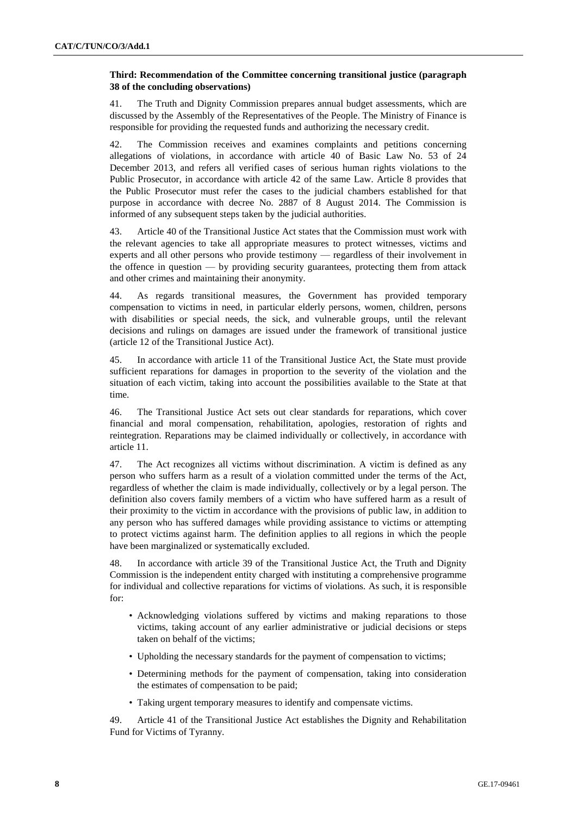# **Third: Recommendation of the Committee concerning transitional justice (paragraph 38 of the concluding observations)**

41. The Truth and Dignity Commission prepares annual budget assessments, which are discussed by the Assembly of the Representatives of the People. The Ministry of Finance is responsible for providing the requested funds and authorizing the necessary credit.

The Commission receives and examines complaints and petitions concerning allegations of violations, in accordance with article 40 of Basic Law No. 53 of 24 December 2013, and refers all verified cases of serious human rights violations to the Public Prosecutor, in accordance with article 42 of the same Law. Article 8 provides that the Public Prosecutor must refer the cases to the judicial chambers established for that purpose in accordance with decree No. 2887 of 8 August 2014. The Commission is informed of any subsequent steps taken by the judicial authorities.

43. Article 40 of the Transitional Justice Act states that the Commission must work with the relevant agencies to take all appropriate measures to protect witnesses, victims and experts and all other persons who provide testimony — regardless of their involvement in the offence in question — by providing security guarantees, protecting them from attack and other crimes and maintaining their anonymity.

44. As regards transitional measures, the Government has provided temporary compensation to victims in need, in particular elderly persons, women, children, persons with disabilities or special needs, the sick, and vulnerable groups, until the relevant decisions and rulings on damages are issued under the framework of transitional justice (article 12 of the Transitional Justice Act).

45. In accordance with article 11 of the Transitional Justice Act, the State must provide sufficient reparations for damages in proportion to the severity of the violation and the situation of each victim, taking into account the possibilities available to the State at that time.

46. The Transitional Justice Act sets out clear standards for reparations, which cover financial and moral compensation, rehabilitation, apologies, restoration of rights and reintegration. Reparations may be claimed individually or collectively, in accordance with article 11.

47. The Act recognizes all victims without discrimination. A victim is defined as any person who suffers harm as a result of a violation committed under the terms of the Act, regardless of whether the claim is made individually, collectively or by a legal person. The definition also covers family members of a victim who have suffered harm as a result of their proximity to the victim in accordance with the provisions of public law, in addition to any person who has suffered damages while providing assistance to victims or attempting to protect victims against harm. The definition applies to all regions in which the people have been marginalized or systematically excluded.

48. In accordance with article 39 of the Transitional Justice Act, the Truth and Dignity Commission is the independent entity charged with instituting a comprehensive programme for individual and collective reparations for victims of violations. As such, it is responsible for:

- Acknowledging violations suffered by victims and making reparations to those victims, taking account of any earlier administrative or judicial decisions or steps taken on behalf of the victims;
- Upholding the necessary standards for the payment of compensation to victims;
- Determining methods for the payment of compensation, taking into consideration the estimates of compensation to be paid;
- Taking urgent temporary measures to identify and compensate victims.

49. Article 41 of the Transitional Justice Act establishes the Dignity and Rehabilitation Fund for Victims of Tyranny.